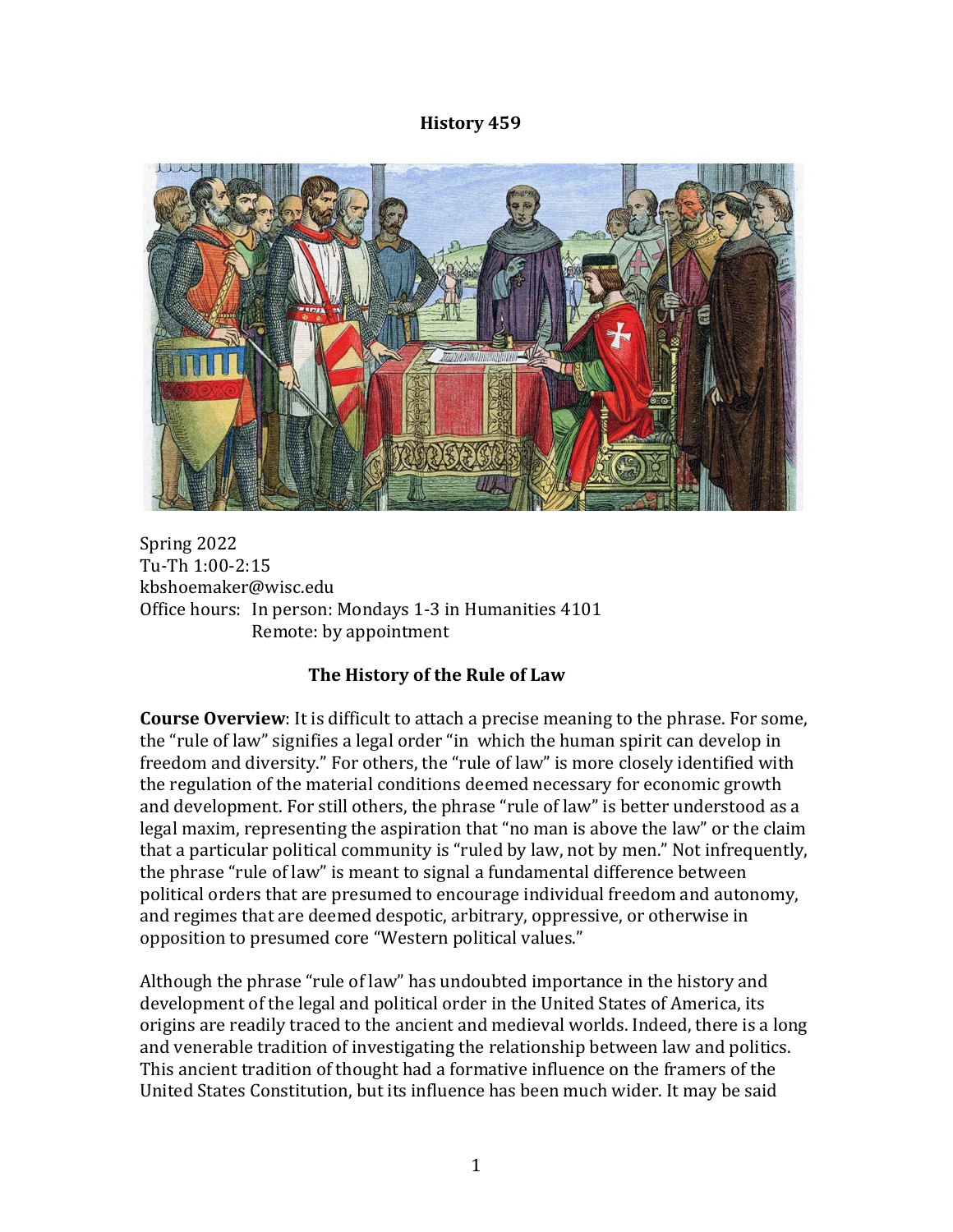#### **History 459**



Spring 2022 Tu-Th 1:00-2:15 kbshoemaker@wisc.edu Office hours: In person: Mondays 1-3 in Humanities 4101 Remote: by appointment

# **The History of the Rule of Law**

**Course Overview**: It is difficult to attach a precise meaning to the phrase. For some, the "rule of law" signifies a legal order "in which the human spirit can develop in freedom and diversity." For others, the "rule of law" is more closely identified with the regulation of the material conditions deemed necessary for economic growth and development. For still others, the phrase "rule of law" is better understood as a legal maxim, representing the aspiration that "no man is above the law" or the claim that a particular political community is "ruled by law, not by men." Not infrequently, the phrase "rule of law" is meant to signal a fundamental difference between political orders that are presumed to encourage individual freedom and autonomy, and regimes that are deemed despotic, arbitrary, oppressive, or otherwise in opposition to presumed core "Western political values."

Although the phrase "rule of law" has undoubted importance in the history and development of the legal and political order in the United States of America, its origins are readily traced to the ancient and medieval worlds. Indeed, there is a long and venerable tradition of investigating the relationship between law and politics. This ancient tradition of thought had a formative influence on the framers of the United States Constitution, but its influence has been much wider. It may be said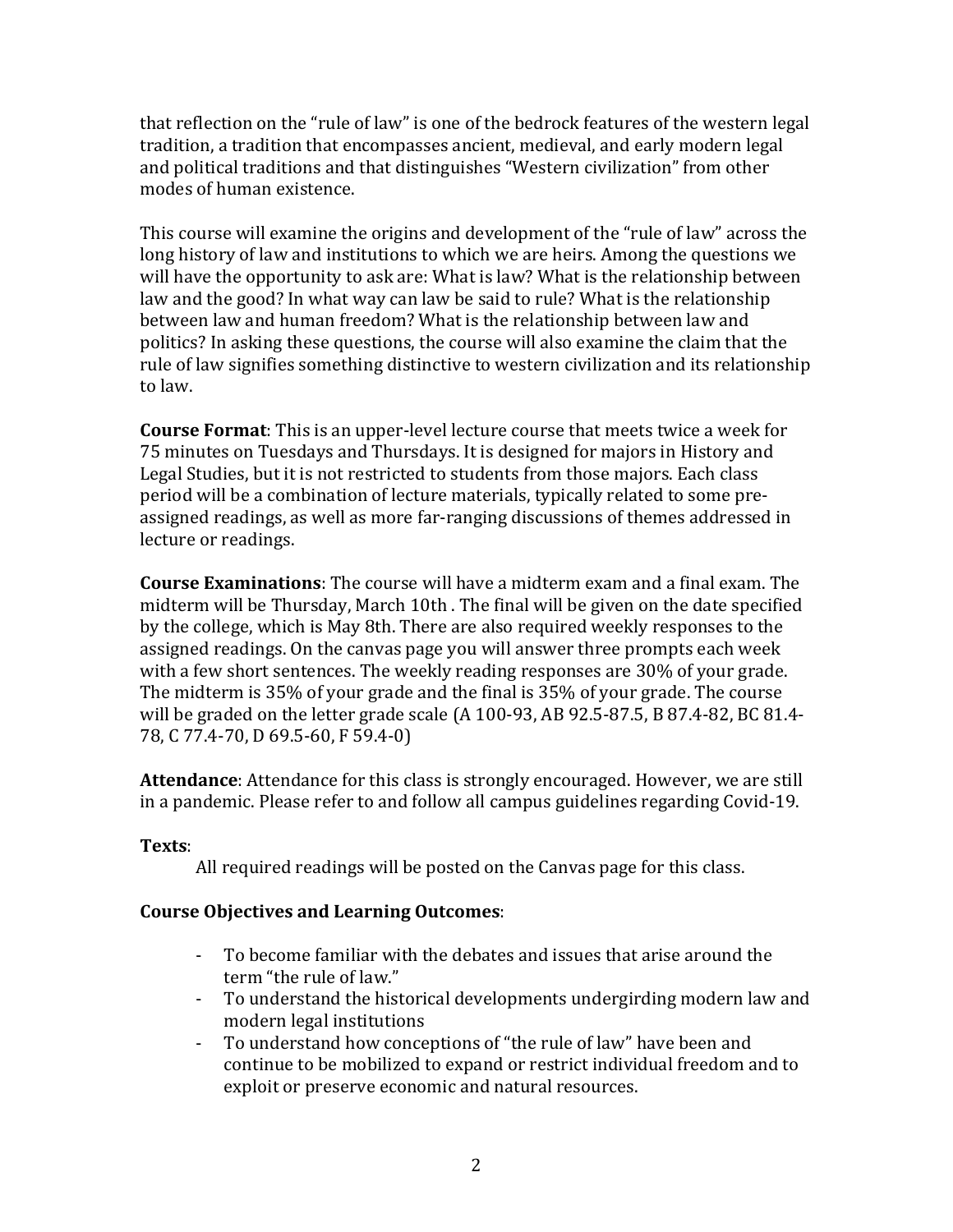that reflection on the "rule of law" is one of the bedrock features of the western legal tradition, a tradition that encompasses ancient, medieval, and early modern legal and political traditions and that distinguishes "Western civilization" from other modes of human existence.

This course will examine the origins and development of the "rule of law" across the long history of law and institutions to which we are heirs. Among the questions we will have the opportunity to ask are: What is law? What is the relationship between law and the good? In what way can law be said to rule? What is the relationship between law and human freedom? What is the relationship between law and politics? In asking these questions, the course will also examine the claim that the rule of law signifies something distinctive to western civilization and its relationship to law.

**Course Format**: This is an upper-level lecture course that meets twice a week for 75 minutes on Tuesdays and Thursdays. It is designed for majors in History and Legal Studies, but it is not restricted to students from those majors. Each class period will be a combination of lecture materials, typically related to some preassigned readings, as well as more far-ranging discussions of themes addressed in lecture or readings.

**Course Examinations**: The course will have a midterm exam and a final exam. The midterm will be Thursday, March 10th . The final will be given on the date specified by the college, which is May 8th. There are also required weekly responses to the assigned readings. On the canvas page you will answer three prompts each week with a few short sentences. The weekly reading responses are 30% of your grade. The midterm is 35% of your grade and the final is 35% of your grade. The course will be graded on the letter grade scale (A 100-93, AB 92.5-87.5, B 87.4-82, BC 81.4- 78, C 77.4-70, D 69.5-60, F 59.4-0)

**Attendance**: Attendance for this class is strongly encouraged. However, we are still in a pandemic. Please refer to and follow all campus guidelines regarding Covid-19.

# **Texts**:

All required readings will be posted on the Canvas page for this class.

# **Course Objectives and Learning Outcomes**:

- To become familiar with the debates and issues that arise around the term "the rule of law."
- To understand the historical developments undergirding modern law and modern legal institutions
- To understand how conceptions of "the rule of law" have been and continue to be mobilized to expand or restrict individual freedom and to exploit or preserve economic and natural resources.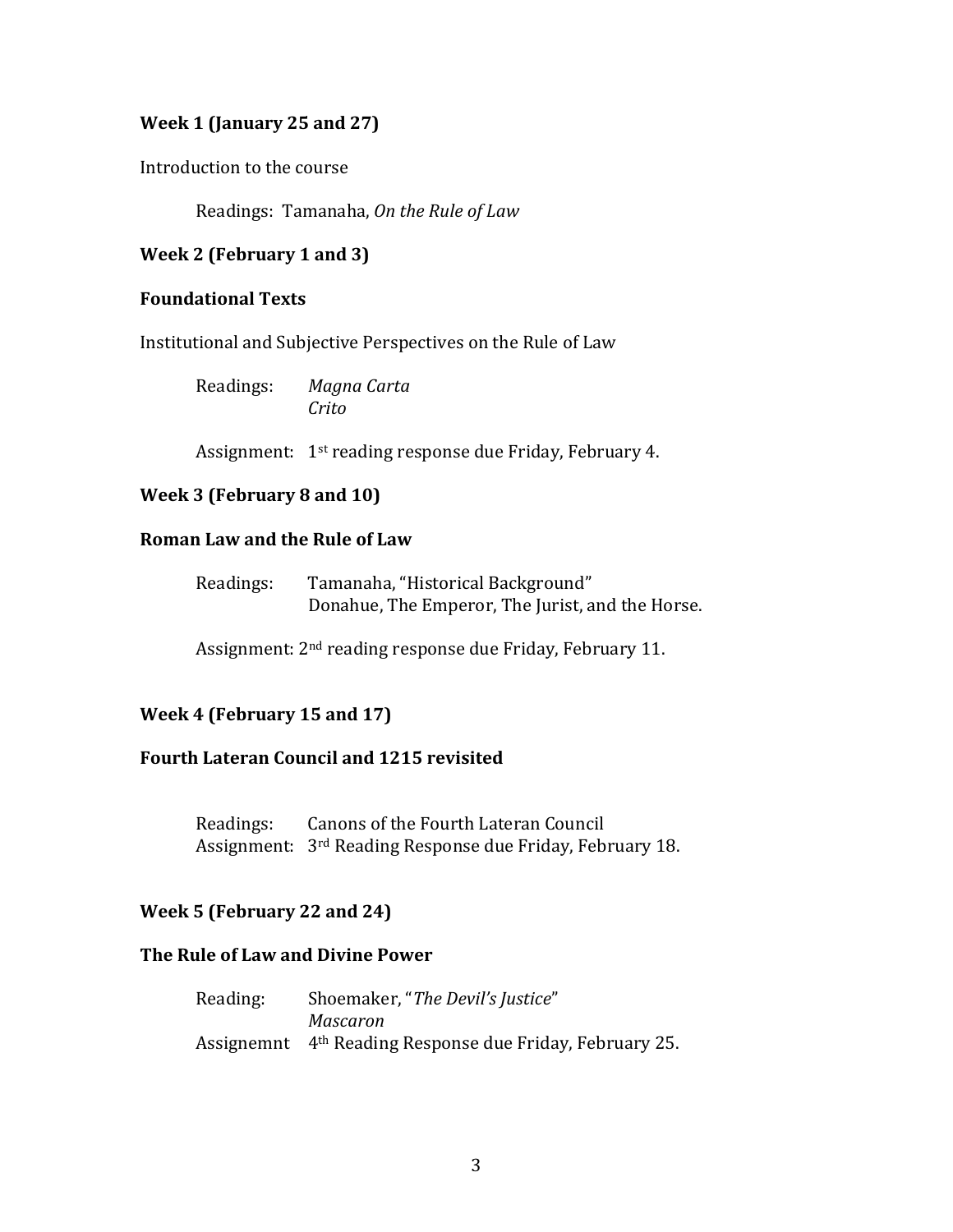# **Week 1 (January 25 and 27)**

Introduction to the course

Readings: Tamanaha, *On the Rule of Law*

# **Week 2 (February 1 and 3)**

## **Foundational Texts**

Institutional and Subjective Perspectives on the Rule of Law

| Readings: | Magna Carta |
|-----------|-------------|
|           | Crito       |

Assignment: 1<sup>st</sup> reading response due Friday, February 4.

# **Week 3 (February 8 and 10)**

# **Roman Law and the Rule of Law**

| Readings: | Tamanaha, "Historical Background"                |
|-----------|--------------------------------------------------|
|           | Donahue, The Emperor, The Jurist, and the Horse. |

Assignment: 2nd reading response due Friday, February 11.

# **Week 4 (February 15 and 17)**

## **Fourth Lateran Council and 1215 revisited**

Readings: Canons of the Fourth Lateran Council Assignment: 3rd Reading Response due Friday, February 18.

# **Week 5 (February 22 and 24)**

# **The Rule of Law and Divine Power**

| Reading: | Shoemaker, "The Devil's Justice"                                     |
|----------|----------------------------------------------------------------------|
|          | Mascaron                                                             |
|          | Assignemnt 4 <sup>th</sup> Reading Response due Friday, February 25. |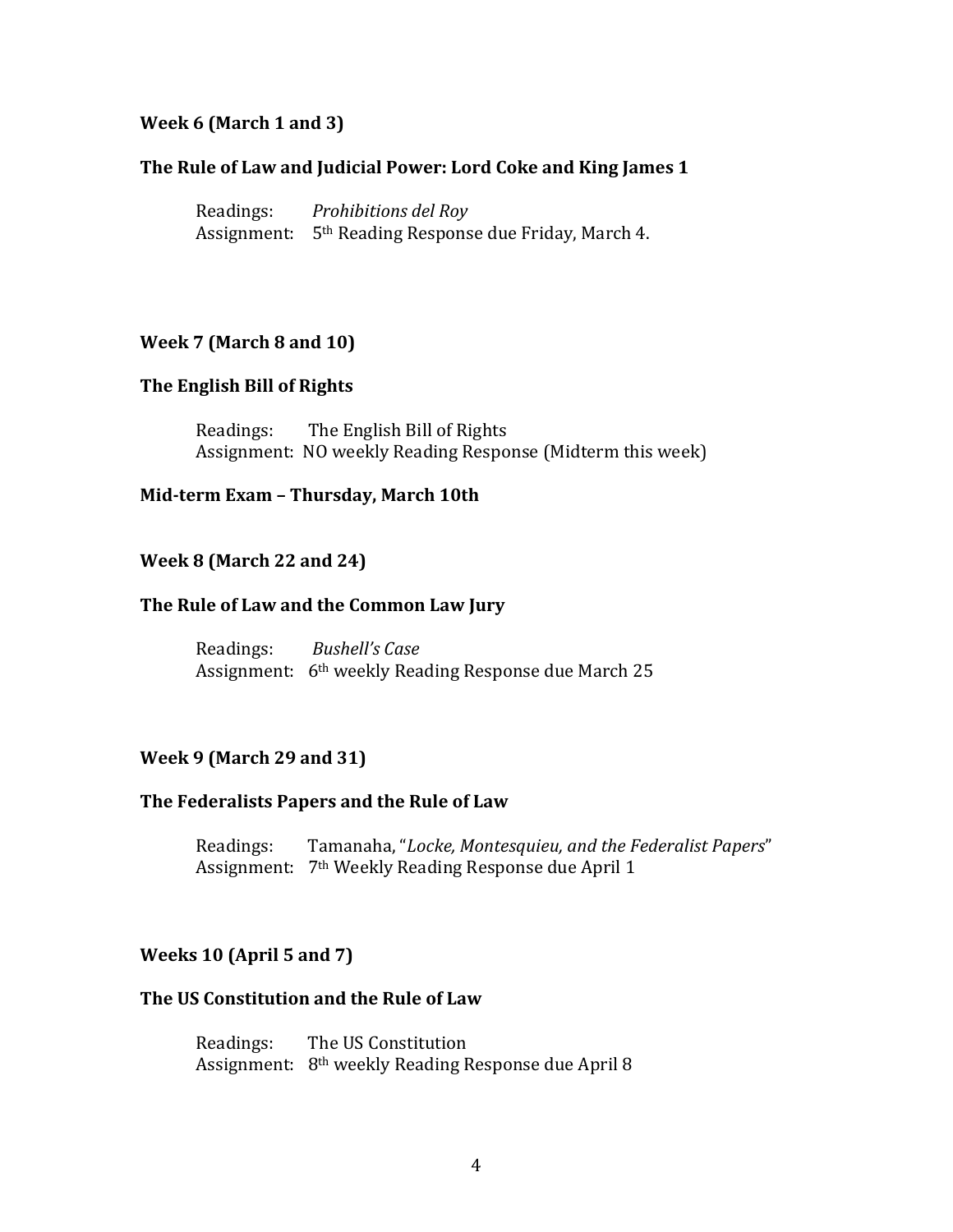### **Week 6 (March 1 and 3)**

### **The Rule of Law and Judicial Power: Lord Coke and King James 1**

Readings: *Prohibitions del Roy* Assignment: 5th Reading Response due Friday, March 4.

#### **Week 7 (March 8 and 10)**

### **The English Bill of Rights**

Readings: The English Bill of Rights Assignment: NO weekly Reading Response (Midterm this week)

#### **Mid-term Exam – Thursday, March 10th**

#### **Week 8 (March 22 and 24)**

#### **The Rule of Law and the Common Law Jury**

Readings: *Bushell's Case* Assignment: 6th weekly Reading Response due March 25

### **Week 9 (March 29 and 31)**

#### **The Federalists Papers and the Rule of Law**

Readings: Tamanaha, "*Locke, Montesquieu, and the Federalist Papers*" Assignment: 7th Weekly Reading Response due April 1

### **Weeks 10 (April 5 and 7)**

#### **The US Constitution and the Rule of Law**

Readings: The US Constitution Assignment: 8th weekly Reading Response due April 8